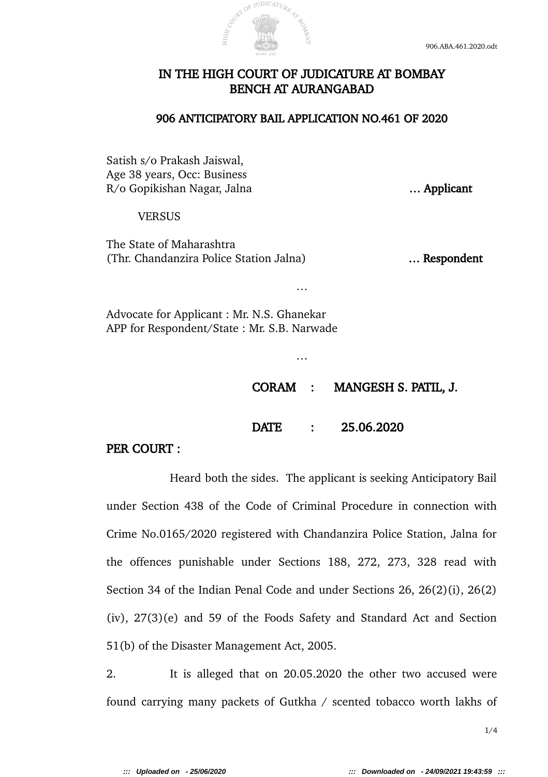

## IN THE HIGH COURT OF JUDICATURE AT BOMBAY BENCH AT AURANGABAD

## 906 ANTICIPATORY BAIL APPLICATION NO.461 OF 2020

…

…

Satish s/o Prakash Jaiswal, Age 38 years, Occ: Business R/o Gopikishan Nagar, Jalna **Exercise 2018** ... **Applicant** 

## **VERSUS**

The State of Maharashtra (Thr. Chandanzira Police Station Jalna) … Respondent

Advocate for Applicant : Mr. N.S. Ghanekar APP for Respondent/State : Mr. S.B. Narwade

CORAM : MANGESH S. PATIL, J.

DATE : 25.06.2020

PER COURT :

Heard both the sides. The applicant is seeking Anticipatory Bail under Section 438 of the Code of Criminal Procedure in connection with Crime No.0165/2020 registered with Chandanzira Police Station, Jalna for the offences punishable under Sections 188, 272, 273, 328 read with Section 34 of the Indian Penal Code and under Sections 26, 26(2)(i), 26(2) (iv), 27(3)(e) and 59 of the Foods Safety and Standard Act and Section 51(b) of the Disaster Management Act, 2005.

2. It is alleged that on 20.05.2020 the other two accused were found carrying many packets of Gutkha / scented tobacco worth lakhs of

1/4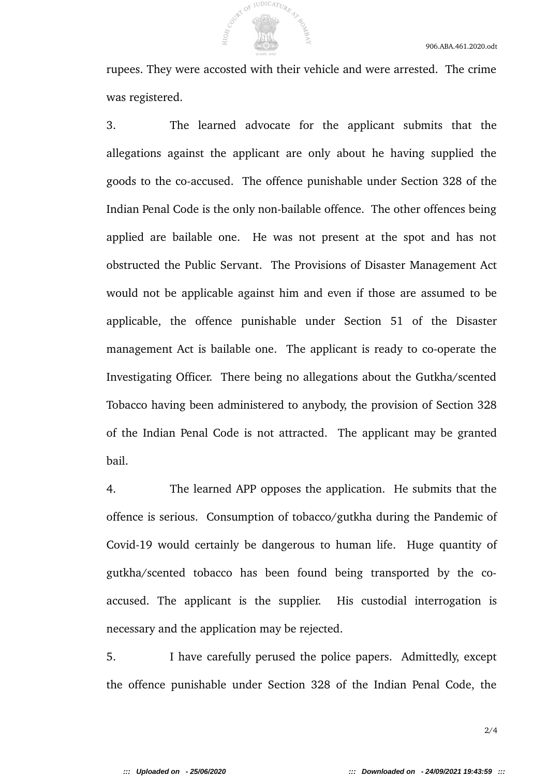rupees. They were accosted with their vehicle and were arrested. The crime was registered.

OF JUDICATURE

3. The learned advocate for the applicant submits that the allegations against the applicant are only about he having supplied the goods to the co-accused. The offence punishable under Section 328 of the Indian Penal Code is the only non-bailable offence. The other offences being applied are bailable one. He was not present at the spot and has not obstructed the Public Servant. The Provisions of Disaster Management Act would not be applicable against him and even if those are assumed to be applicable, the offence punishable under Section 51 of the Disaster management Act is bailable one. The applicant is ready to co-operate the Investigating Officer. There being no allegations about the Gutkha/scented Tobacco having been administered to anybody, the provision of Section 328 of the Indian Penal Code is not attracted. The applicant may be granted bail.

4. The learned APP opposes the application. He submits that the offence is serious. Consumption of tobacco/gutkha during the Pandemic of Covid-19 would certainly be dangerous to human life. Huge quantity of gutkha/scented tobacco has been found being transported by the coaccused. The applicant is the supplier. His custodial interrogation is necessary and the application may be rejected.

5. I have carefully perused the police papers. Admittedly, except the offence punishable under Section 328 of the Indian Penal Code, the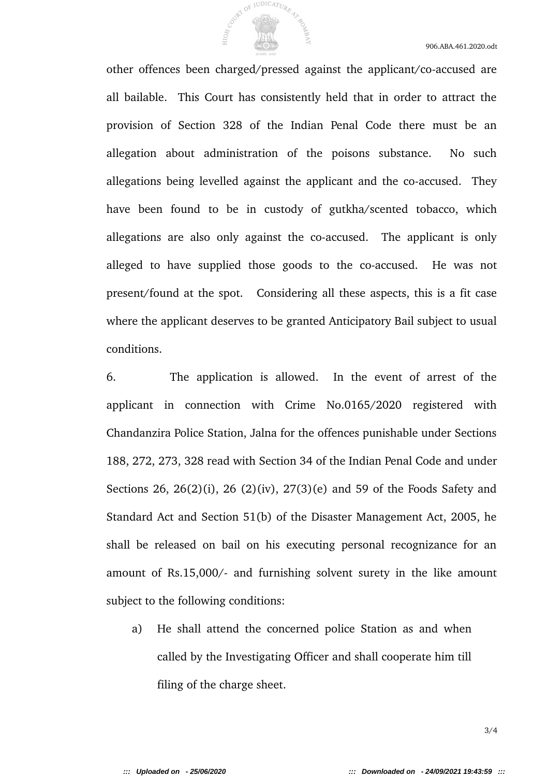other offences been charged/pressed against the applicant/co-accused are all bailable. This Court has consistently held that in order to attract the provision of Section 328 of the Indian Penal Code there must be an allegation about administration of the poisons substance. No such allegations being levelled against the applicant and the co-accused. They have been found to be in custody of gutkha/scented tobacco, which allegations are also only against the co-accused. The applicant is only alleged to have supplied those goods to the co-accused. He was not present/found at the spot. Considering all these aspects, this is a fit case where the applicant deserves to be granted Anticipatory Bail subject to usual conditions.

OF JUDICATURE

6. The application is allowed. In the event of arrest of the applicant in connection with Crime No.0165/2020 registered with Chandanzira Police Station, Jalna for the offences punishable under Sections 188, 272, 273, 328 read with Section 34 of the Indian Penal Code and under Sections 26, 26(2)(i), 26 (2)(iv), 27(3)(e) and 59 of the Foods Safety and Standard Act and Section 51(b) of the Disaster Management Act, 2005, he shall be released on bail on his executing personal recognizance for an amount of Rs.15,000/- and furnishing solvent surety in the like amount subject to the following conditions:

a) He shall attend the concerned police Station as and when called by the Investigating Officer and shall cooperate him till filing of the charge sheet.